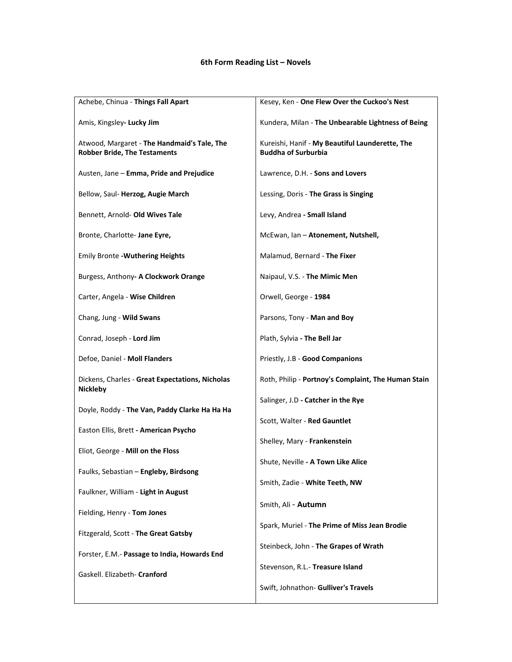## **6th Form Reading List – Novels**

| Achebe, Chinua - Things Fall Apart                                                 | Kesey, Ken - One Flew Over the Cuckoo's Nest                                  |
|------------------------------------------------------------------------------------|-------------------------------------------------------------------------------|
| Amis, Kingsley- Lucky Jim                                                          | Kundera, Milan - The Unbearable Lightness of Being                            |
| Atwood, Margaret - The Handmaid's Tale, The<br><b>Robber Bride, The Testaments</b> | Kureishi, Hanif - My Beautiful Launderette, The<br><b>Buddha of Surburbia</b> |
| Austen, Jane - Emma, Pride and Prejudice                                           | Lawrence, D.H. - Sons and Lovers                                              |
| Bellow, Saul-Herzog, Augie March                                                   | Lessing, Doris - The Grass is Singing                                         |
| Bennett, Arnold- Old Wives Tale                                                    | Levy, Andrea - Small Island                                                   |
| Bronte, Charlotte- Jane Eyre,                                                      | McEwan, Ian - Atonement, Nutshell,                                            |
| <b>Emily Bronte - Wuthering Heights</b>                                            | Malamud, Bernard - The Fixer                                                  |
| Burgess, Anthony- A Clockwork Orange                                               | Naipaul, V.S. - The Mimic Men                                                 |
| Carter, Angela - Wise Children                                                     | Orwell, George - 1984                                                         |
| Chang, Jung - Wild Swans                                                           | Parsons, Tony - Man and Boy                                                   |
| Conrad, Joseph - Lord Jim                                                          | Plath, Sylvia - The Bell Jar                                                  |
| Defoe, Daniel - Moll Flanders                                                      | Priestly, J.B - Good Companions                                               |
| Dickens, Charles - Great Expectations, Nicholas<br><b>Nickleby</b>                 | Roth, Philip - Portnoy's Complaint, The Human Stain                           |
| Doyle, Roddy - The Van, Paddy Clarke Ha Ha Ha                                      | Salinger, J.D - Catcher in the Rye                                            |
| Easton Ellis, Brett - American Psycho                                              | Scott, Walter - Red Gauntlet                                                  |
| Eliot, George - Mill on the Floss                                                  | Shelley, Mary - Frankenstein                                                  |
| Faulks, Sebastian - Engleby, Birdsong                                              | Shute, Neville - A Town Like Alice                                            |
| Faulkner, William - Light in August                                                | Smith, Zadie - White Teeth, NW                                                |
| Fielding, Henry - Tom Jones                                                        | Smith, Ali - Autumn                                                           |
| Fitzgerald, Scott - The Great Gatsby                                               | Spark, Muriel - The Prime of Miss Jean Brodie                                 |
| Forster, E.M.- Passage to India, Howards End                                       | Steinbeck, John - The Grapes of Wrath                                         |
| Gaskell. Elizabeth- Cranford                                                       | Stevenson, R.L.- Treasure Island                                              |
|                                                                                    | Swift, Johnathon- Gulliver's Travels                                          |